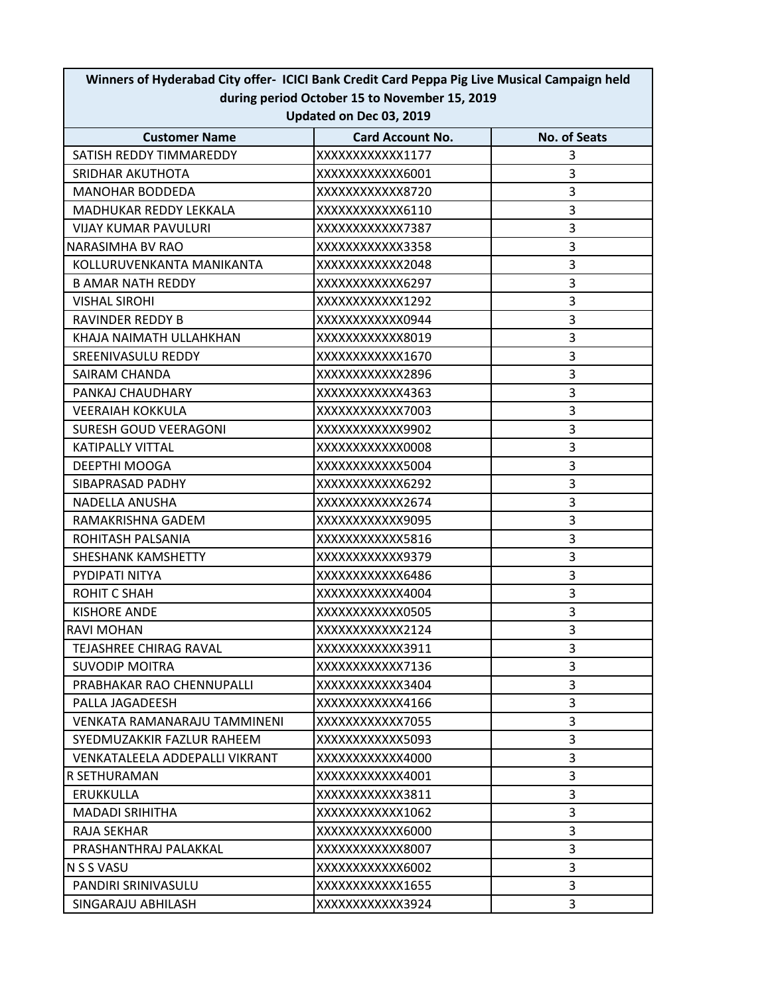| Updated on Dec 03, 2019        |                         |                     |  |
|--------------------------------|-------------------------|---------------------|--|
| <b>Customer Name</b>           | <b>Card Account No.</b> | <b>No. of Seats</b> |  |
| SATISH REDDY TIMMAREDDY        | XXXXXXXXXXXX1177        | 3                   |  |
| SRIDHAR AKUTHOTA               | XXXXXXXXXXXX6001        | 3                   |  |
| <b>MANOHAR BODDEDA</b>         | XXXXXXXXXXXX8720        | 3                   |  |
| MADHUKAR REDDY LEKKALA         | XXXXXXXXXXXX6110        | 3                   |  |
| <b>VIJAY KUMAR PAVULURI</b>    | XXXXXXXXXXXX7387        | 3                   |  |
| <b>NARASIMHA BV RAO</b>        | XXXXXXXXXXXX3358        | 3                   |  |
| KOLLURUVENKANTA MANIKANTA      | XXXXXXXXXXXX2048        | 3                   |  |
| <b>B AMAR NATH REDDY</b>       | XXXXXXXXXXXX6297        | 3                   |  |
| <b>VISHAL SIROHI</b>           | XXXXXXXXXXXX1292        | 3                   |  |
| RAVINDER REDDY B               | XXXXXXXXXXXX0944        | 3                   |  |
| KHAJA NAIMATH ULLAHKHAN        | XXXXXXXXXXXX8019        | 3                   |  |
| SREENIVASULU REDDY             | XXXXXXXXXXX1670         | 3                   |  |
| <b>SAIRAM CHANDA</b>           | XXXXXXXXXXXX2896        | 3                   |  |
| PANKAJ CHAUDHARY               | XXXXXXXXXXX4363         | 3                   |  |
| <b>VEERAIAH KOKKULA</b>        | XXXXXXXXXXXX7003        | 3                   |  |
| <b>SURESH GOUD VEERAGONI</b>   | XXXXXXXXXXXX9902        | 3                   |  |
| <b>KATIPALLY VITTAL</b>        | XXXXXXXXXXXX0008        | 3                   |  |
| DEEPTHI MOOGA                  | XXXXXXXXXXXX5004        | 3                   |  |
| SIBAPRASAD PADHY               | XXXXXXXXXXXX6292        | 3                   |  |
| NADELLA ANUSHA                 | XXXXXXXXXXXX2674        | 3                   |  |
| RAMAKRISHNA GADEM              | XXXXXXXXXXX9095         | 3                   |  |
| ROHITASH PALSANIA              | XXXXXXXXXXXX5816        | 3                   |  |
| SHESHANK KAMSHETTY             | XXXXXXXXXXXX9379        | 3                   |  |
| PYDIPATI NITYA                 | XXXXXXXXXXXX6486        | 3                   |  |
| ROHIT C SHAH                   | XXXXXXXXXXX4004         | 3                   |  |
| <b>KISHORE ANDE</b>            | XXXXXXXXXXXX0505        | 3                   |  |
| RAVI MOHAN                     | XXXXXXXXXXX2124         | 3                   |  |
| <b>TEJASHREE CHIRAG RAVAL</b>  | XXXXXXXXXXXX3911        | 3                   |  |
| <b>SUVODIP MOITRA</b>          | XXXXXXXXXXXX7136        | 3                   |  |
| PRABHAKAR RAO CHENNUPALLI      | XXXXXXXXXXXX3404        | 3                   |  |
| PALLA JAGADEESH                | XXXXXXXXXXX4166         | 3                   |  |
| VENKATA RAMANARAJU TAMMINENI   | XXXXXXXXXXXX7055        | 3                   |  |
| SYEDMUZAKKIR FAZLUR RAHEEM     | XXXXXXXXXXXX5093        | 3                   |  |
| VENKATALEELA ADDEPALLI VIKRANT | XXXXXXXXXXXX4000        | 3                   |  |
| R SETHURAMAN                   | XXXXXXXXXXXX4001        | 3                   |  |
| <b>ERUKKULLA</b>               | XXXXXXXXXXXX3811        | 3                   |  |
| <b>MADADI SRIHITHA</b>         | XXXXXXXXXXX1062         | 3                   |  |
| RAJA SEKHAR                    | XXXXXXXXXXXX6000        | 3                   |  |
| PRASHANTHRAJ PALAKKAL          | XXXXXXXXXXXX8007        | 3                   |  |
| N S S VASU                     | XXXXXXXXXXXX6002        | $\overline{3}$      |  |
| PANDIRI SRINIVASULU            | XXXXXXXXXXX1655         | 3                   |  |
| SINGARAJU ABHILASH             | XXXXXXXXXXXX3924        | 3                   |  |